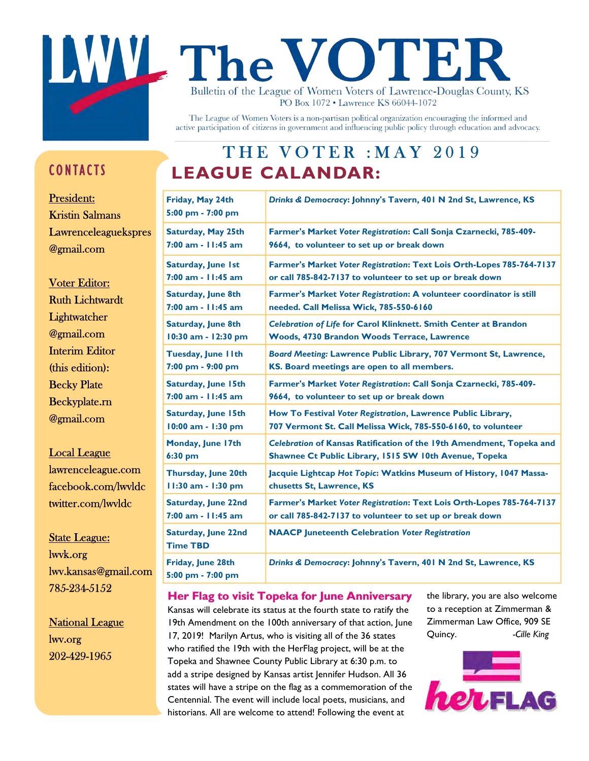## **WL The VOTEF** Bulletin of the League of Women Voters of Lawrence-Douglas County, KS PO Box 1072 • Lawrence KS 66044-1072

The League of Women Voters is a non-partisan political organization encouraging the informed and active participation of citizens in government and influencing public policy through education and advocacy.

### CONTACTS

President: Kristin Salmans Lawrenceleaguekspres @gmail.com

Voter Editor: Ruth Lichtwardt **Lightwatcher** @gmail.com Interim Editor (this edition): Becky Plate Beckyplate.rn @gmail.com

Local League lawrenceleague.com facebook.com/lwvldc twitter.com/lwvldc

State League: lwvk.org lwv.kansas@gmail.com 785-234-5152

**National League** lwv.org 202-429-1965

### THE VOTER : MAY 2019 LEAGUE CALANDAR:

| Friday, May 24th<br>5:00 pm - 7:00 pm         | Drinks & Democracy: Johnny's Tavern, 401 N 2nd St, Lawrence, KS       |
|-----------------------------------------------|-----------------------------------------------------------------------|
| <b>Saturday, May 25th</b>                     | Farmer's Market Voter Registration: Call Sonja Czarnecki, 785-409-    |
| 7:00 am - 11:45 am                            | 9664, to volunteer to set up or break down                            |
| Saturday, June 1st                            | Farmer's Market Voter Registration: Text Lois Orth-Lopes 785-764-7137 |
| $7:00$ am - $11:45$ am                        | or call 785-842-7137 to volunteer to set up or break down             |
| <b>Saturday, June 8th</b>                     | Farmer's Market Voter Registration: A volunteer coordinator is still  |
| $7:00$ am - $11:45$ am                        | needed. Call Melissa Wick, 785-550-6160                               |
| Saturday, June 8th                            | Celebration of Life for Carol Klinknett. Smith Center at Brandon      |
| 10:30 am - 12:30 pm                           | Woods, 4730 Brandon Woods Terrace, Lawrence                           |
| Tuesday, June IIth                            | Board Meeting: Lawrence Public Library, 707 Vermont St, Lawrence,     |
| 7:00 pm - 9:00 pm                             | KS. Board meetings are open to all members.                           |
| <b>Saturday, June 15th</b>                    | Farmer's Market Voter Registration: Call Sonja Czarnecki, 785-409-    |
| $7:00$ am - $11:45$ am                        | 9664, to volunteer to set up or break down                            |
| <b>Saturday, June 15th</b>                    | How To Festival Voter Registration, Lawrence Public Library,          |
| 10:00 am - 1:30 pm                            | 707 Vermont St. Call Melissa Wick, 785-550-6160, to volunteer         |
| Monday, June 17th                             | Celebration of Kansas Ratification of the 19th Amendment, Topeka and  |
| 6:30 pm                                       | Shawnee Ct Public Library, 1515 SW 10th Avenue, Topeka                |
| Thursday, June 20th                           | Jacquie Lightcap Hot Topic: Watkins Museum of History, 1047 Massa-    |
| 11:30 am - 1:30 pm                            | chusetts St, Lawrence, KS                                             |
| <b>Saturday, June 22nd</b>                    | Farmer's Market Voter Registration: Text Lois Orth-Lopes 785-764-7137 |
| $7:00$ am - $11:45$ am                        | or call 785-842-7137 to volunteer to set up or break down             |
| <b>Saturday, June 22nd</b><br><b>Time TBD</b> | <b>NAACP Juneteenth Celebration Voter Registration</b>                |
| Friday, June 28th<br>5:00 pm - 7:00 pm        | Drinks & Democracy: Johnny's Tavern, 401 N 2nd St, Lawrence, KS       |

Her Flag to visit Topeka for June Anniversary Kansas will celebrate its status at the fourth state to ratify the 19th Amendment on the 100th anniversary of that action, June 17, 2019! Marilyn Artus, who is visiting all of the 36 states who ratified the 19th with the HerFlag project, will be at the Topeka and Shawnee County Public Library at 6:30 p.m. to add a stripe designed by Kansas artist Jennifer Hudson. All 36 states will have a stripe on the flag as a commemoration of the Centennial. The event will include local poets, musicians, and historians. All are welcome to attend! Following the event at

the library, you are also welcome to a reception at Zimmerman & Zimmerman Law Office, 909 SE Quincy. - Cille King

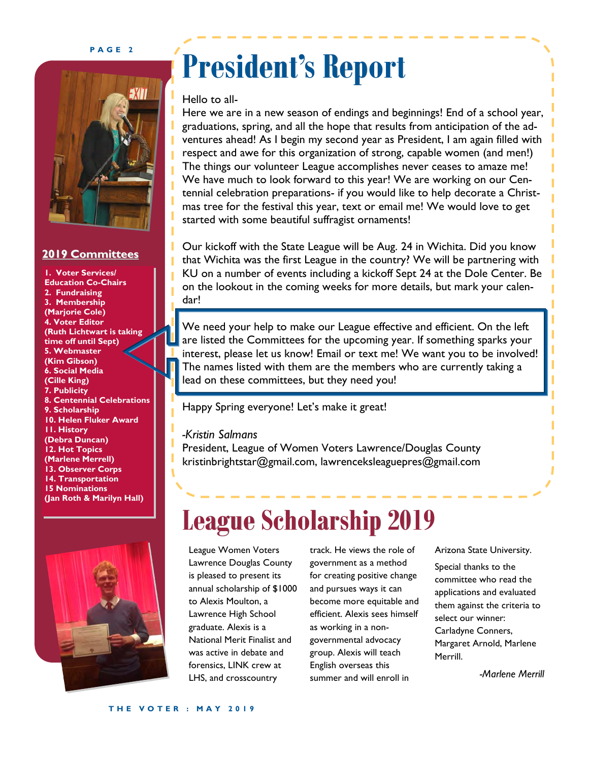#### PAGE<sub>2</sub>



### 2019 Committees

1. Voter Services/ Education Co-Chairs 2. Fundraising 3. Membership (Marjorie Cole) 4. Voter Editor (Ruth Lichtwart is taking time off until Sept) 5. Webmaster (Kim Gibson) 6. Social Media (Cille King) 7. Publicity 8. Centennial Celebrations 9. Scholarship 10. Helen Fluker Award 11. History (Debra Duncan) 12. Hot Topics (Marlene Merrell) 13. Observer Corps 14. Transportation 15 Nominations (Jan Roth & Marilyn Hall)



## President's Report

### Hello to all-

Here we are in a new season of endings and beginnings! End of a school year, graduations, spring, and all the hope that results from anticipation of the adventures ahead! As I begin my second year as President, I am again filled with respect and awe for this organization of strong, capable women (and men!) The things our volunteer League accomplishes never ceases to amaze me! We have much to look forward to this year! We are working on our Centennial celebration preparations- if you would like to help decorate a Christmas tree for the festival this year, text or email me! We would love to get started with some beautiful suffragist ornaments!

Our kickoff with the State League will be Aug. 24 in Wichita. Did you know that Wichita was the first League in the country? We will be partnering with KU on a number of events including a kickoff Sept 24 at the Dole Center. Be on the lookout in the coming weeks for more details, but mark your calendar!

We need your help to make our League effective and efficient. On the left are listed the Committees for the upcoming year. If something sparks your interest, please let us know! Email or text me! We want you to be involved! The names listed with them are the members who are currently taking a lead on these committees, but they need you!

Happy Spring everyone! Let's make it great!

### -Kristin Salmans

President, League of Women Voters Lawrence/Douglas County kristinbrightstar@gmail.com, lawrenceksleaguepres@gmail.com

## League Scholarship 2019

League Women Voters Lawrence Douglas County is pleased to present its annual scholarship of \$1000 to Alexis Moulton, a Lawrence High School graduate. Alexis is a National Merit Finalist and was active in debate and forensics, LINK crew at LHS, and crosscountry

track. He views the role of government as a method for creating positive change and pursues ways it can become more equitable and efficient. Alexis sees himself as working in a nongovernmental advocacy group. Alexis will teach English overseas this summer and will enroll in

Arizona State University.

Special thanks to the committee who read the applications and evaluated them against the criteria to select our winner: Carladyne Conners, Margaret Arnold, Marlene Merrill.

-Marlene Merrill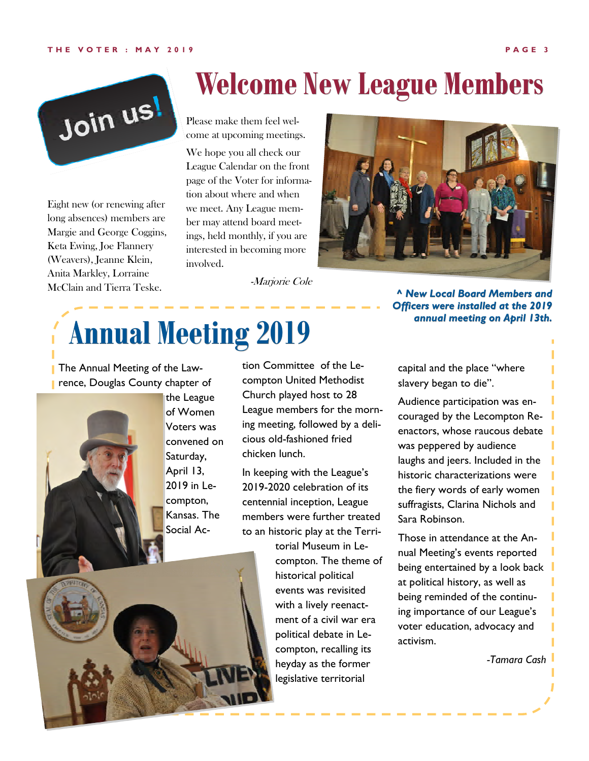#### T H E V O T E R : MAY 2019 PAGE 3



Eight new (or renewing after long absences) members are Margie and George Coggins, Keta Ewing, Joe Flannery (Weavers), Jeanne Klein, Anita Markley, Lorraine McClain and Tierra Teske.

## Welcome New League Members

Please make them feel welcome at upcoming meetings.

We hope you all check our League Calendar on the front page of the Voter for information about where and when we meet. Any League member may attend board meetings, held monthly, if you are interested in becoming more involved.

-Marjorie Cole

# Annual Meeting 2019

**The Annual Meeting of the Lawrence, Douglas County chapter of** 



the League of Women Voters was convened on Saturday, April 13, 2019 in Lecompton, Kansas. The Social Ac-

tion Committee of the Lecompton United Methodist Church played host to 28 League members for the morning meeting, followed by a delicious old-fashioned fried chicken lunch.

In keeping with the League's 2019-2020 celebration of its centennial inception, League members were further treated to an historic play at the Terri-

torial Museum in Lecompton. The theme of historical political events was revisited with a lively reenactment of a civil war era political debate in Lecompton, recalling its heyday as the former legislative territorial

capital and the place "where slavery began to die".

^ New Local Board Members and Officers were installed at the 2019 annual meeting on April 13th.

Audience participation was encouraged by the Lecompton Reenactors, whose raucous debate was peppered by audience laughs and jeers. Included in the historic characterizations were the fiery words of early women suffragists, Clarina Nichols and Sara Robinson.

Those in attendance at the Annual Meeting's events reported being entertained by a look back at political history, as well as being reminded of the continuing importance of our League's voter education, advocacy and activism.

-Tamara Cash

T

T



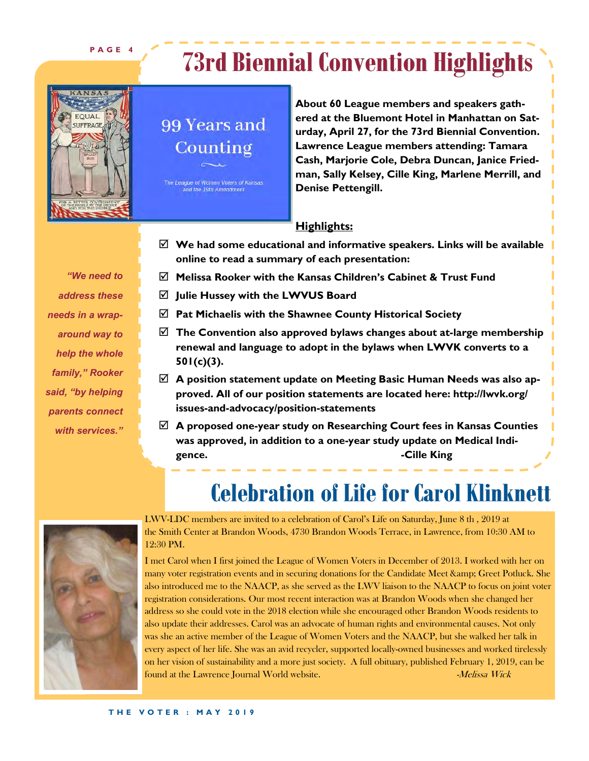PAGE 4

## 73rd Biennial Convention Highlights



### 99 Years and Counting

The League of Women Voters of Kansas and the 19th Amendment

About 60 League members and speakers gathered at the Bluemont Hotel in Manhattan on Saturday, April 27, for the 73rd Biennial Convention. Lawrence League members attending: Tamara Cash, Marjorie Cole, Debra Duncan, Janice Friedman, Sally Kelsey, Cille King, Marlene Merrill, and Denise Pettengill.

### **Highlights:**

- $\boxtimes$  We had some educational and informative speakers. Links will be available online to read a summary of each presentation:
- $\boxtimes$  Melissa Rooker with the Kansas Children's Cabinet & Trust Fund
- $\boxtimes$  Julie Hussey with the LWVUS Board
- $\boxtimes$  Pat Michaelis with the Shawnee County Historical Society
- $\boxtimes$  The Convention also approved bylaws changes about at-large membership renewal and language to adopt in the bylaws when LWVK converts to a 501(c)(3).
- $\boxtimes$  A position statement update on Meeting Basic Human Needs was also approved. All of our position statements are located here: http://lwvk.org/ issues-and-advocacy/position-statements
- $\boxtimes$  A proposed one-year study on Researching Court fees in Kansas Counties was approved, in addition to a one-year study update on Medical Indigence. **Example 20** and 20 and 20 and 20 and 20 and 20 and 20 and 20 and 20 and 20 and 20 and 20 and 20 and 20 and 20 and 20 and 20 and 20 and 20 and 20 and 20 and 20 and 20 and 20 and 20 and 20 and 20 and 20 and 20 and 20

## Celebration of Life for Carol Klinknett



LWV-LDC members are invited to a celebration of Carol's Life on Saturday, June 8 th , 2019 at the Smith Center at Brandon Woods, 4730 Brandon Woods Terrace, in Lawrence, from 10:30 AM to 12:30 PM.

I met Carol when I first joined the League of Women Voters in December of 2013. I worked with her on many voter registration events and in securing donations for the Candidate Meet & amp; Greet Potluck. She also introduced me to the NAACP, as she served as the LWV liaison to the NAACP to focus on joint voter registration considerations. Our most recent interaction was at Brandon Woods when she changed her address so she could vote in the 2018 election while she encouraged other Brandon Woods residents to also update their addresses. Carol was an advocate of human rights and environmental causes. Not only was she an active member of the League of Women Voters and the NAACP, but she walked her talk in every aspect of her life. She was an avid recycler, supported locally-owned businesses and worked tirelessly on her vision of sustainability and a more just society. A full obituary, published February 1, 2019, can be found at the Lawrence Journal World website.  $Mck$ 

address these needs in a wraparound way to help the whole family," Rooker said, "by helping parents connect with services."

"We need to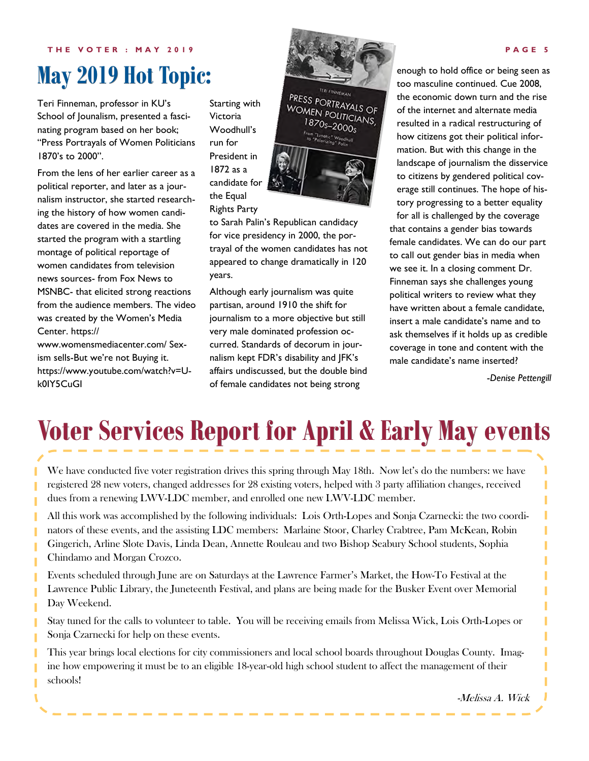THE VOTER : MAY 2019 **PAGE 6** PAGE 5

## May 2019 Hot Topic:

Teri Finneman, professor in KU's School of Jounalism, presented a fascinating program based on her book; "Press Portrayals of Women Politicians 1870's to 2000".

From the lens of her earlier career as a political reporter, and later as a journalism instructor, she started researching the history of how women candidates are covered in the media. She started the program with a startling montage of political reportage of women candidates from television news sources- from Fox News to MSNBC- that elicited strong reactions from the audience members. The video was created by the Women's Media Center. https://

www.womensmediacenter.com/ Sexism sells-But we're not Buying it. https://www.youtube.com/watch?v=Uk0IY5CuGI

Starting with Victoria Woodhull's run for President in 1872 as a candidate for the Equal Rights Party



to Sarah Palin's Republican candidacy for vice presidency in 2000, the portrayal of the women candidates has not appeared to change dramatically in 120 years.

Although early journalism was quite partisan, around 1910 the shift for journalism to a more objective but still very male dominated profession occurred. Standards of decorum in journalism kept FDR's disability and JFK's affairs undiscussed, but the double bind of female candidates not being strong

enough to hold office or being seen as too masculine continued. Cue 2008, the economic down turn and the rise of the internet and alternate media resulted in a radical restructuring of how citizens got their political information. But with this change in the landscape of journalism the disservice to citizens by gendered political coverage still continues. The hope of history progressing to a better equality for all is challenged by the coverage that contains a gender bias towards female candidates. We can do our part to call out gender bias in media when we see it. In a closing comment Dr. Finneman says she challenges young political writers to review what they have written about a female candidate, insert a male candidate's name and to ask themselves if it holds up as credible coverage in tone and content with the male candidate's name inserted?

-Denise Pettengill

ı

ī Ī

П ī T T T T Ī ī

## Voter Services Report for April & Early May events

We have conducted five voter registration drives this spring through May 18th. Now let's do the numbers: we have registered 28 new voters, changed addresses for 28 existing voters, helped with 3 party affiliation changes, received dues from a renewing LWV-LDC member, and enrolled one new LWV-LDC member.

п All this work was accomplished by the following individuals: Lois Orth-Lopes and Sonja Czarnecki: the two coordinators of these events, and the assisting LDC members: Marlaine Stoor, Charley Crabtree, Pam McKean, Robin Gingerich, Arline Slote Davis, Linda Dean, Annette Rouleau and two Bishop Seabury School students, Sophia Chindamo and Morgan Crozco.

Events scheduled through June are on Saturdays at the Lawrence Farmer's Market, the How-To Festival at the Lawrence Public Library, the Juneteenth Festival, and plans are being made for the Busker Event over Memorial Day Weekend.

Stay tuned for the calls to volunteer to table. You will be receiving emails from Melissa Wick, Lois Orth-Lopes or Sonja Czarnecki for help on these events.

This year brings local elections for city commissioners and local school boards throughout Douglas County. Imagine how empowering it must be to an eligible 18-year-old high school student to affect the management of their schools!

-Melissa A. Wick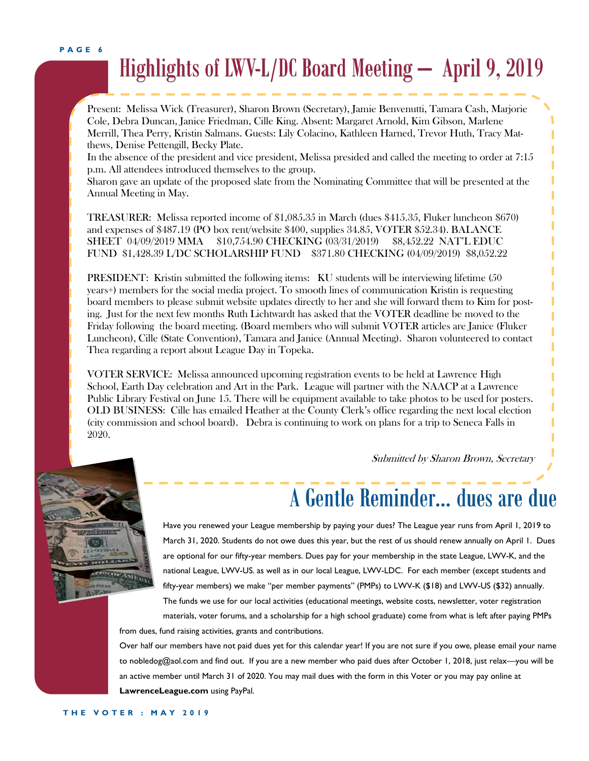PAGE 6

## Highlights of LWV-L/DC Board Meeting – April 9, 2019

Present: Melissa Wick (Treasurer), Sharon Brown (Secretary), Jamie Benvenutti, Tamara Cash, Marjorie Cole, Debra Duncan, Janice Friedman, Cille King. Absent: Margaret Arnold, Kim Gibson, Marlene Merrill, Thea Perry, Kristin Salmans. Guests: Lily Colacino, Kathleen Harned, Trevor Huth, Tracy Matthews, Denise Pettengill, Becky Plate.

In the absence of the president and vice president, Melissa presided and called the meeting to order at 7:15 p.m. All attendees introduced themselves to the group.

Sharon gave an update of the proposed slate from the Nominating Committee that will be presented at the Annual Meeting in May.

TREASURER: Melissa reported income of \$1,085.35 in March (dues \$415.35, Fluker luncheon \$670) and expenses of \$487.19 (PO box rent/website \$400, supplies 34.85, VOTER \$52.34). BALANCE SHEET 04/09/2019 MMA \$10,754.90 CHECKING (03/31/2019) \$8,452.22 NAT'L EDUC FUND \$1,428.39 L/DC SCHOLARSHIP FUND \$371.80 CHECKING (04/09/2019) \$8,052.22

PRESIDENT: Kristin submitted the following items: KU students will be interviewing lifetime (50 years+) members for the social media project. To smooth lines of communication Kristin is requesting board members to please submit website updates directly to her and she will forward them to Kim for posting. Just for the next few months Ruth Lichtwardt has asked that the VOTER deadline be moved to the Friday following the board meeting. (Board members who will submit VOTER articles are Janice (Fluker Luncheon), Cille (State Convention), Tamara and Janice (Annual Meeting). Sharon volunteered to contact Thea regarding a report about League Day in Topeka.

VOTER SERVICE: Melissa announced upcoming registration events to be held at Lawrence High School, Earth Day celebration and Art in the Park. League will partner with the NAACP at a Lawrence Public Library Festival on June 15. There will be equipment available to take photos to be used for posters. OLD BUSINESS: Cille has emailed Heather at the County Clerk's office regarding the next local election (city commission and school board). Debra is continuing to work on plans for a trip to Seneca Falls in 2020.

Submitted by Sharon Brown, Secretary

I



## A Gentle Reminder… dues are due

Have you renewed your League membership by paying your dues? The League year runs from April 1, 2019 to March 31, 2020. Students do not owe dues this year, but the rest of us should renew annually on April 1. Dues are optional for our fifty-year members. Dues pay for your membership in the state League, LWV-K, and the national League, LWV-US. as well as in our local League, LWV-LDC. For each member (except students and fifty-year members) we make "per member payments" (PMPs) to LWV-K (\$18) and LWV-US (\$32) annually. The funds we use for our local activities (educational meetings, website costs, newsletter, voter registration materials, voter forums, and a scholarship for a high school graduate) come from what is left after paying PMPs

from dues, fund raising activities, grants and contributions.

Over half our members have not paid dues yet for this calendar year! If you are not sure if you owe, please email your name to nobledog@aol.com and find out. If you are a new member who paid dues after October 1, 2018, just relax—you will be an active member until March 31 of 2020. You may mail dues with the form in this Voter or you may pay online at LawrenceLeague.com using PayPal.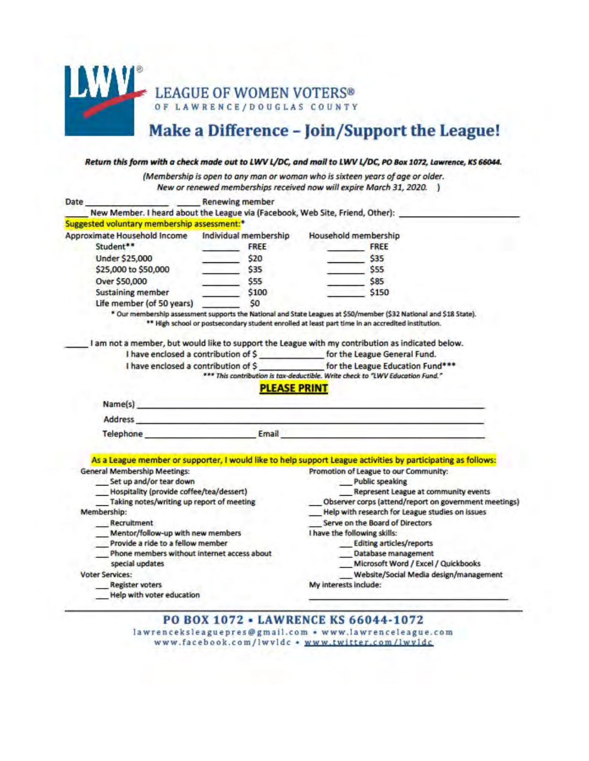

### Make a Difference - Join/Support the League!

|                                                         |                                                                                                                                                                                                                                | (Membership is open to any man or woman who is sixteen years of age or older.                                                                                                                                                 |
|---------------------------------------------------------|--------------------------------------------------------------------------------------------------------------------------------------------------------------------------------------------------------------------------------|-------------------------------------------------------------------------------------------------------------------------------------------------------------------------------------------------------------------------------|
|                                                         |                                                                                                                                                                                                                                | New or renewed memberships received now will expire March 31, 2020. )                                                                                                                                                         |
| Date                                                    | <b>Example 2016 Renewing member</b>                                                                                                                                                                                            |                                                                                                                                                                                                                               |
|                                                         | New Member. I heard about the League via (Facebook, Web Site, Friend, Other):                                                                                                                                                  |                                                                                                                                                                                                                               |
| Suggested voluntary membership assessment: <sup>*</sup> |                                                                                                                                                                                                                                |                                                                                                                                                                                                                               |
| Approximate Household Income                            | Individual membership                                                                                                                                                                                                          | Household membership                                                                                                                                                                                                          |
| Student**                                               | <b>FREE</b>                                                                                                                                                                                                                    | <b>FREE</b>                                                                                                                                                                                                                   |
| <b>Under \$25,000</b>                                   | \$20                                                                                                                                                                                                                           | \$35                                                                                                                                                                                                                          |
| \$25,000 to \$50,000                                    | \$35                                                                                                                                                                                                                           | \$55                                                                                                                                                                                                                          |
| Over \$50,000                                           | \$55                                                                                                                                                                                                                           | \$85                                                                                                                                                                                                                          |
| <b>Sustaining member</b>                                | \$100                                                                                                                                                                                                                          | \$150                                                                                                                                                                                                                         |
| Life member (of 50 years)                               | S0                                                                                                                                                                                                                             |                                                                                                                                                                                                                               |
|                                                         |                                                                                                                                                                                                                                | * Our membership assessment supports the National and State Leagues at \$50/member (\$32 National and \$18 State).                                                                                                            |
|                                                         |                                                                                                                                                                                                                                | ** High school or postsecondary student enrolled at least part time in an accredited institution.                                                                                                                             |
|                                                         |                                                                                                                                                                                                                                |                                                                                                                                                                                                                               |
|                                                         |                                                                                                                                                                                                                                | I am not a member, but would like to support the League with my contribution as indicated below.                                                                                                                              |
|                                                         | I have enclosed a contribution of \$ __________________ for the League General Fund.                                                                                                                                           |                                                                                                                                                                                                                               |
|                                                         |                                                                                                                                                                                                                                |                                                                                                                                                                                                                               |
|                                                         |                                                                                                                                                                                                                                |                                                                                                                                                                                                                               |
|                                                         |                                                                                                                                                                                                                                | *** This contribution is tax-deductible. Write check to "LWV Education Fund."                                                                                                                                                 |
|                                                         | <b>PLEASE PRINT</b>                                                                                                                                                                                                            |                                                                                                                                                                                                                               |
|                                                         | Name(s) and the contract of the contract of the contract of the contract of the contract of the contract of the contract of the contract of the contract of the contract of the contract of the contract of the contract of th |                                                                                                                                                                                                                               |
|                                                         |                                                                                                                                                                                                                                |                                                                                                                                                                                                                               |
|                                                         |                                                                                                                                                                                                                                | Address and the company of the company of the company of the company of the company of the company of the company of the company of the company of the company of the company of the company of the company of the company of |
|                                                         |                                                                                                                                                                                                                                | <b>Telephone Email Email</b>                                                                                                                                                                                                  |
|                                                         |                                                                                                                                                                                                                                |                                                                                                                                                                                                                               |
|                                                         |                                                                                                                                                                                                                                | As a League member or supporter, I would like to help support League activities by participating as follows:                                                                                                                  |
| <b>General Membership Meetings:</b>                     |                                                                                                                                                                                                                                | Promotion of League to our Community:                                                                                                                                                                                         |
| Set up and/or tear down                                 |                                                                                                                                                                                                                                | <b>Public speaking</b>                                                                                                                                                                                                        |
| Hospitality (provide coffee/tea/dessert)                |                                                                                                                                                                                                                                | Represent League at community events                                                                                                                                                                                          |
| Taking notes/writing up report of meeting               |                                                                                                                                                                                                                                | Observer corps (attend/report on government meetings)                                                                                                                                                                         |
| Membership:                                             |                                                                                                                                                                                                                                | Help with research for League studies on issues                                                                                                                                                                               |
| Recruitment                                             |                                                                                                                                                                                                                                | Serve on the Board of Directors                                                                                                                                                                                               |
| Mentor/follow-up with new members                       |                                                                                                                                                                                                                                | I have the following skills:                                                                                                                                                                                                  |
| Provide a ride to a fellow member                       |                                                                                                                                                                                                                                | Editing articles/reports                                                                                                                                                                                                      |
|                                                         | Phone members without internet access about                                                                                                                                                                                    | Database management                                                                                                                                                                                                           |
| special updates                                         |                                                                                                                                                                                                                                | Microsoft Word / Excel / Quickbooks                                                                                                                                                                                           |
| <b>Voter Services:</b><br><b>Register voters</b>        |                                                                                                                                                                                                                                | Website/Social Media design/management<br>My interests include:                                                                                                                                                               |

### PO BOX 1072 - LAWRENCE KS 66044-1072 lawrenceksleaguepres@gmail.com • www.lawrenceleague.com www.facebook.com/lwvldc · www.twitter.com/lwvldc